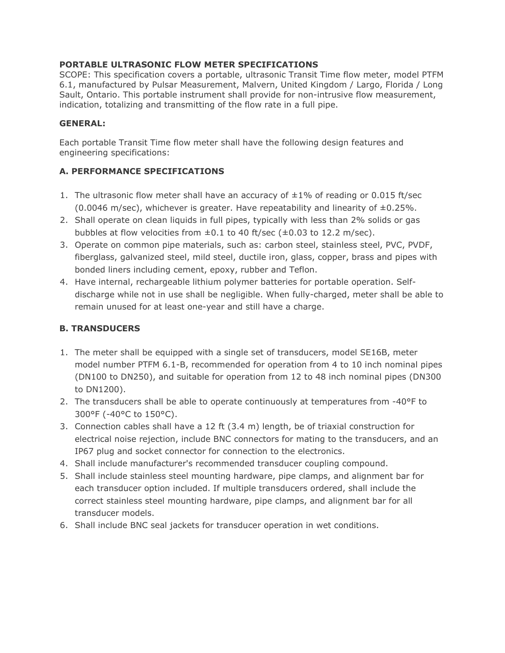### **PORTABLE ULTRASONIC FLOW METER SPECIFICATIONS**

SCOPE: This specification covers a portable, ultrasonic Transit Time flow meter, model PTFM 6.1, manufactured by Pulsar Measurement, Malvern, United Kingdom / Largo, Florida / Long Sault, Ontario. This portable instrument shall provide for non-intrusive flow measurement, indication, totalizing and transmitting of the flow rate in a full pipe.

#### **GENERAL:**

Each portable Transit Time flow meter shall have the following design features and engineering specifications:

# **A. PERFORMANCE SPECIFICATIONS**

- 1. The ultrasonic flow meter shall have an accuracy of  $\pm 1\%$  of reading or 0.015 ft/sec (0.0046 m/sec), whichever is greater. Have repeatability and linearity of  $\pm 0.25$ %.
- 2. Shall operate on clean liquids in full pipes, typically with less than 2% solids or gas bubbles at flow velocities from  $\pm 0.1$  to 40 ft/sec ( $\pm 0.03$  to 12.2 m/sec).
- 3. Operate on common pipe materials, such as: carbon steel, stainless steel, PVC, PVDF, fiberglass, galvanized steel, mild steel, ductile iron, glass, copper, brass and pipes with bonded liners including cement, epoxy, rubber and Teflon.
- 4. Have internal, rechargeable lithium polymer batteries for portable operation. Selfdischarge while not in use shall be negligible. When fully-charged, meter shall be able to remain unused for at least one-year and still have a charge.

# **B. TRANSDUCERS**

- 1. The meter shall be equipped with a single set of transducers, model SE16B, meter model number PTFM 6.1-B, recommended for operation from 4 to 10 inch nominal pipes (DN100 to DN250), and suitable for operation from 12 to 48 inch nominal pipes (DN300 to DN1200).
- 2. The transducers shall be able to operate continuously at temperatures from -40°F to 300°F (-40°C to 150°C).
- 3. Connection cables shall have a 12 ft (3.4 m) length, be of triaxial construction for electrical noise rejection, include BNC connectors for mating to the transducers, and an IP67 plug and socket connector for connection to the electronics.
- 4. Shall include manufacturer's recommended transducer coupling compound.
- 5. Shall include stainless steel mounting hardware, pipe clamps, and alignment bar for each transducer option included. If multiple transducers ordered, shall include the correct stainless steel mounting hardware, pipe clamps, and alignment bar for all transducer models.
- 6. Shall include BNC seal jackets for transducer operation in wet conditions.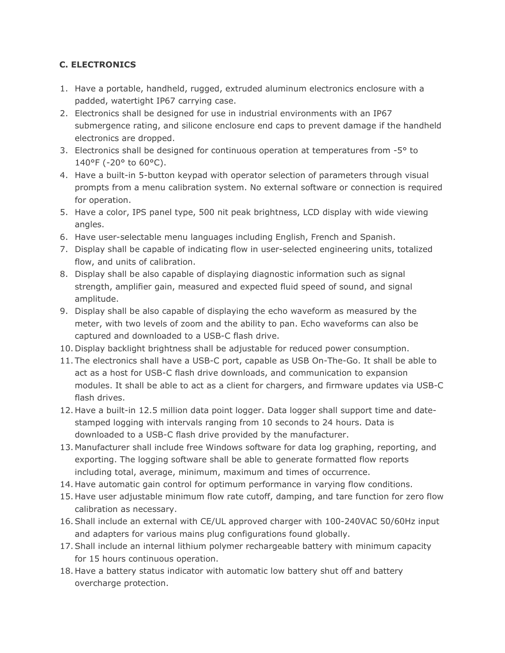# **C. ELECTRONICS**

- 1. Have a portable, handheld, rugged, extruded aluminum electronics enclosure with a padded, watertight IP67 carrying case.
- 2. Electronics shall be designed for use in industrial environments with an IP67 submergence rating, and silicone enclosure end caps to prevent damage if the handheld electronics are dropped.
- 3. Electronics shall be designed for continuous operation at temperatures from  $-5^{\circ}$  to 140°F (-20° to 60°C).
- 4. Have a built-in 5-button keypad with operator selection of parameters through visual prompts from a menu calibration system. No external software or connection is required for operation.
- 5. Have a color, IPS panel type, 500 nit peak brightness, LCD display with wide viewing angles.
- 6. Have user-selectable menu languages including English, French and Spanish.
- 7. Display shall be capable of indicating flow in user-selected engineering units, totalized flow, and units of calibration.
- 8. Display shall be also capable of displaying diagnostic information such as signal strength, amplifier gain, measured and expected fluid speed of sound, and signal amplitude.
- 9. Display shall be also capable of displaying the echo waveform as measured by the meter, with two levels of zoom and the ability to pan. Echo waveforms can also be captured and downloaded to a USB-C flash drive.
- 10. Display backlight brightness shall be adjustable for reduced power consumption.
- 11. The electronics shall have a USB-C port, capable as USB On-The-Go. It shall be able to act as a host for USB-C flash drive downloads, and communication to expansion modules. It shall be able to act as a client for chargers, and firmware updates via USB-C flash drives.
- 12. Have a built-in 12.5 million data point logger. Data logger shall support time and datestamped logging with intervals ranging from 10 seconds to 24 hours. Data is downloaded to a USB-C flash drive provided by the manufacturer.
- 13. Manufacturer shall include free Windows software for data log graphing, reporting, and exporting. The logging software shall be able to generate formatted flow reports including total, average, minimum, maximum and times of occurrence.
- 14. Have automatic gain control for optimum performance in varying flow conditions.
- 15. Have user adjustable minimum flow rate cutoff, damping, and tare function for zero flow calibration as necessary.
- 16.Shall include an external with CE/UL approved charger with 100-240VAC 50/60Hz input and adapters for various mains plug configurations found globally.
- 17.Shall include an internal lithium polymer rechargeable battery with minimum capacity for 15 hours continuous operation.
- 18. Have a battery status indicator with automatic low battery shut off and battery overcharge protection.